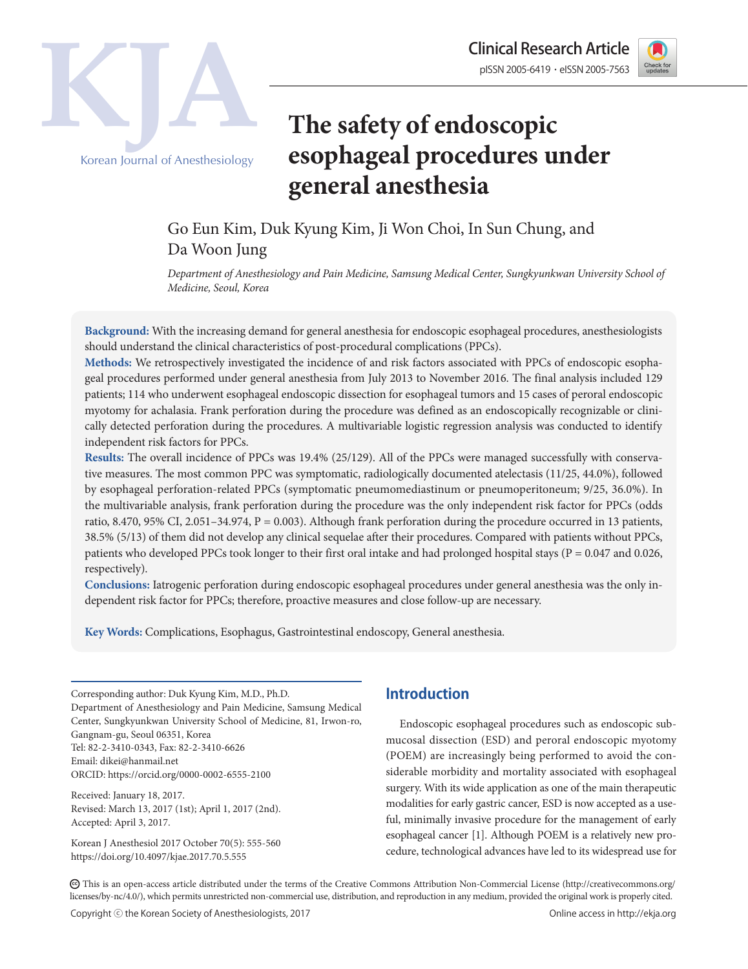



# **The safety of endoscopic esophageal procedures under general anesthesia**

## Go Eun Kim, Duk Kyung Kim, Ji Won Choi, In Sun Chung, and Da Woon Jung

*Department of Anesthesiology and Pain Medicine, Samsung Medical Center, Sungkyunkwan University School of Medicine, Seoul, Korea*

**Background:** With the increasing demand for general anesthesia for endoscopic esophageal procedures, anesthesiologists should understand the clinical characteristics of post-procedural complications (PPCs).

**Methods:** We retrospectively investigated the incidence of and risk factors associated with PPCs of endoscopic esophageal procedures performed under general anesthesia from July 2013 to November 2016. The final analysis included 129 patients; 114 who underwent esophageal endoscopic dissection for esophageal tumors and 15 cases of peroral endoscopic myotomy for achalasia. Frank perforation during the procedure was defined as an endoscopically recognizable or clinically detected perforation during the procedures. A multivariable logistic regression analysis was conducted to identify independent risk factors for PPCs.

**Results:** The overall incidence of PPCs was 19.4% (25/129). All of the PPCs were managed successfully with conservative measures. The most common PPC was symptomatic, radiologically documented atelectasis (11/25, 44.0%), followed by esophageal perforation-related PPCs (symptomatic pneumomediastinum or pneumoperitoneum; 9/25, 36.0%). In the multivariable analysis, frank perforation during the procedure was the only independent risk factor for PPCs (odds ratio, 8.470, 95% CI, 2.051–34.974, P = 0.003). Although frank perforation during the procedure occurred in 13 patients, 38.5% (5/13) of them did not develop any clinical sequelae after their procedures. Compared with patients without PPCs, patients who developed PPCs took longer to their first oral intake and had prolonged hospital stays ( $P = 0.047$  and 0.026, respectively).

**Conclusions:** Iatrogenic perforation during endoscopic esophageal procedures under general anesthesia was the only independent risk factor for PPCs; therefore, proactive measures and close follow-up are necessary.

**Key Words:** Complications, Esophagus, Gastrointestinal endoscopy, General anesthesia.

Corresponding author: Duk Kyung Kim, M.D., Ph.D. Department of Anesthesiology and Pain Medicine, Samsung Medical Center, Sungkyunkwan University School of Medicine, 81, Irwon-ro, Gangnam-gu, Seoul 06351, Korea Tel: 82-2-3410-0343, Fax: 82-2-3410-6626 Email: dikei@hanmail.net ORCID: https://orcid.org/0000-0002-6555-2100

Received: January 18, 2017. Revised: March 13, 2017 (1st); April 1, 2017 (2nd). Accepted: April 3, 2017.

Korean J Anesthesiol 2017 October 70(5): 555-560 https://doi.org/10.4097/kjae.2017.70.5.555

## **Introduction**

Endoscopic esophageal procedures such as endoscopic submucosal dissection (ESD) and peroral endoscopic myotomy (POEM) are increasingly being performed to avoid the considerable morbidity and mortality associated with esophageal surgery. With its wide application as one of the main therapeutic modalities for early gastric cancer, ESD is now accepted as a useful, minimally invasive procedure for the management of early esophageal cancer [1]. Although POEM is a relatively new procedure, technological advances have led to its widespread use for

CC This is an open-access article distributed under the terms of the Creative Commons Attribution Non-Commercial License (http://creativecommons.org/ licenses/by-nc/4.0/), which permits unrestricted non-commercial use, distribution, and reproduction in any medium, provided the original work is properly cited.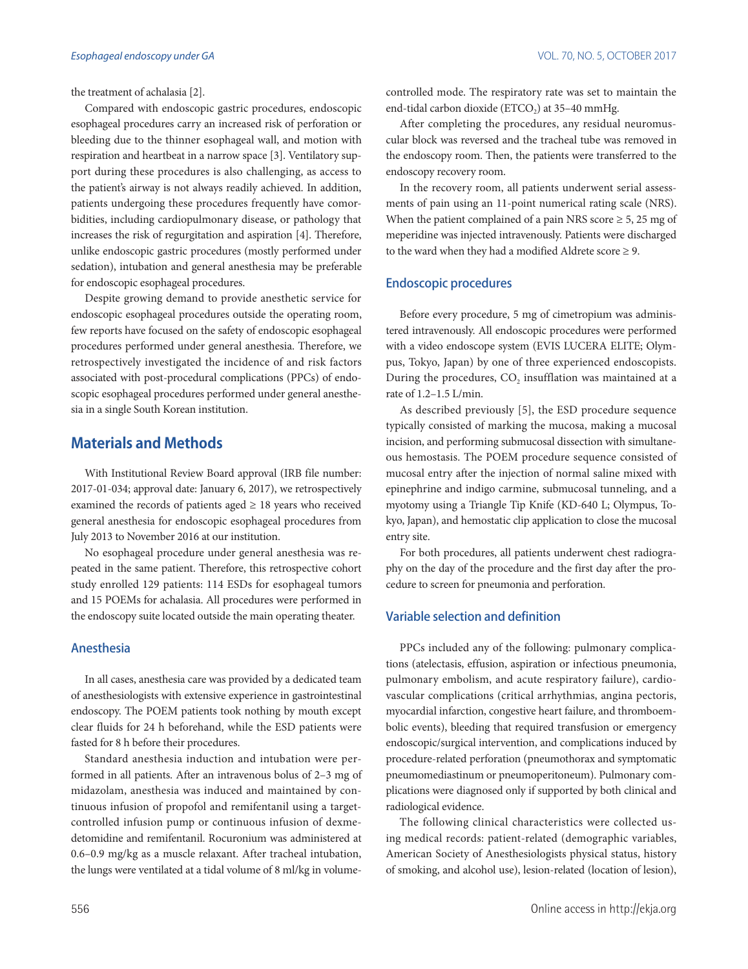the treatment of achalasia [2].

Compared with endoscopic gastric procedures, endoscopic esophageal procedures carry an increased risk of perforation or bleeding due to the thinner esophageal wall, and motion with respiration and heartbeat in a narrow space [3]. Ventilatory support during these procedures is also challenging, as access to the patient's airway is not always readily achieved. In addition, patients undergoing these procedures frequently have comorbidities, including cardiopulmonary disease, or pathology that increases the risk of regurgitation and aspiration [4]. Therefore, unlike endoscopic gastric procedures (mostly performed under sedation), intubation and general anesthesia may be preferable for endoscopic esophageal procedures.

Despite growing demand to provide anesthetic service for endoscopic esophageal procedures outside the operating room, few reports have focused on the safety of endoscopic esophageal procedures performed under general anesthesia. Therefore, we retrospectively investigated the incidence of and risk factors associated with post-procedural complications (PPCs) of endoscopic esophageal procedures performed under general anesthesia in a single South Korean institution.

## **Materials and Methods**

With Institutional Review Board approval (IRB file number: 2017-01-034; approval date: January 6, 2017), we retrospectively examined the records of patients aged  $\geq$  18 years who received general anesthesia for endoscopic esophageal procedures from July 2013 to November 2016 at our institution.

No esophageal procedure under general anesthesia was repeated in the same patient. Therefore, this retrospective cohort study enrolled 129 patients: 114 ESDs for esophageal tumors and 15 POEMs for achalasia. All procedures were performed in the endoscopy suite located outside the main operating theater.

#### Anesthesia

In all cases, anesthesia care was provided by a dedicated team of anesthesiologists with extensive experience in gastrointestinal endoscopy. The POEM patients took nothing by mouth except clear fluids for 24 h beforehand, while the ESD patients were fasted for 8 h before their procedures.

Standard anesthesia induction and intubation were performed in all patients. After an intravenous bolus of 2–3 mg of midazolam, anesthesia was induced and maintained by continuous infusion of propofol and remifentanil using a targetcontrolled infusion pump or continuous infusion of dexmedetomidine and remifentanil. Rocuronium was administered at 0.6–0.9 mg/kg as a muscle relaxant. After tracheal intubation, the lungs were ventilated at a tidal volume of 8 ml/kg in volumecontrolled mode. The respiratory rate was set to maintain the end-tidal carbon dioxide (ETCO<sub>2</sub>) at 35-40 mmHg.

After completing the procedures, any residual neuromuscular block was reversed and the tracheal tube was removed in the endoscopy room. Then, the patients were transferred to the endoscopy recovery room.

In the recovery room, all patients underwent serial assessments of pain using an 11-point numerical rating scale (NRS). When the patient complained of a pain NRS score  $\geq 5$ , 25 mg of meperidine was injected intravenously. Patients were discharged to the ward when they had a modified Aldrete score  $\geq 9$ .

#### Endoscopic procedures

Before every procedure, 5 mg of cimetropium was administered intravenously. All endoscopic procedures were performed with a video endoscope system (EVIS LUCERA ELITE; Olympus, Tokyo, Japan) by one of three experienced endoscopists. During the procedures, CO<sub>2</sub> insufflation was maintained at a rate of 1.2–1.5 L/min.

As described previously [5], the ESD procedure sequence typically consisted of marking the mucosa, making a mucosal incision, and performing submucosal dissection with simultaneous hemostasis. The POEM procedure sequence consisted of mucosal entry after the injection of normal saline mixed with epinephrine and indigo carmine, submucosal tunneling, and a myotomy using a Triangle Tip Knife (KD-640 L; Olympus, Tokyo, Japan), and hemostatic clip application to close the mucosal entry site.

For both procedures, all patients underwent chest radiography on the day of the procedure and the first day after the procedure to screen for pneumonia and perforation.

#### Variable selection and definition

PPCs included any of the following: pulmonary complications (atelectasis, effusion, aspiration or infectious pneumonia, pulmonary embolism, and acute respiratory failure), cardiovascular complications (critical arrhythmias, angina pectoris, myocardial infarction, congestive heart failure, and thromboembolic events), bleeding that required transfusion or emergency endoscopic/surgical intervention, and complications induced by procedure-related perforation (pneumothorax and symptomatic pneumomediastinum or pneumoperitoneum). Pulmonary complications were diagnosed only if supported by both clinical and radiological evidence.

The following clinical characteristics were collected using medical records: patient-related (demographic variables, American Society of Anesthesiologists physical status, history of smoking, and alcohol use), lesion-related (location of lesion),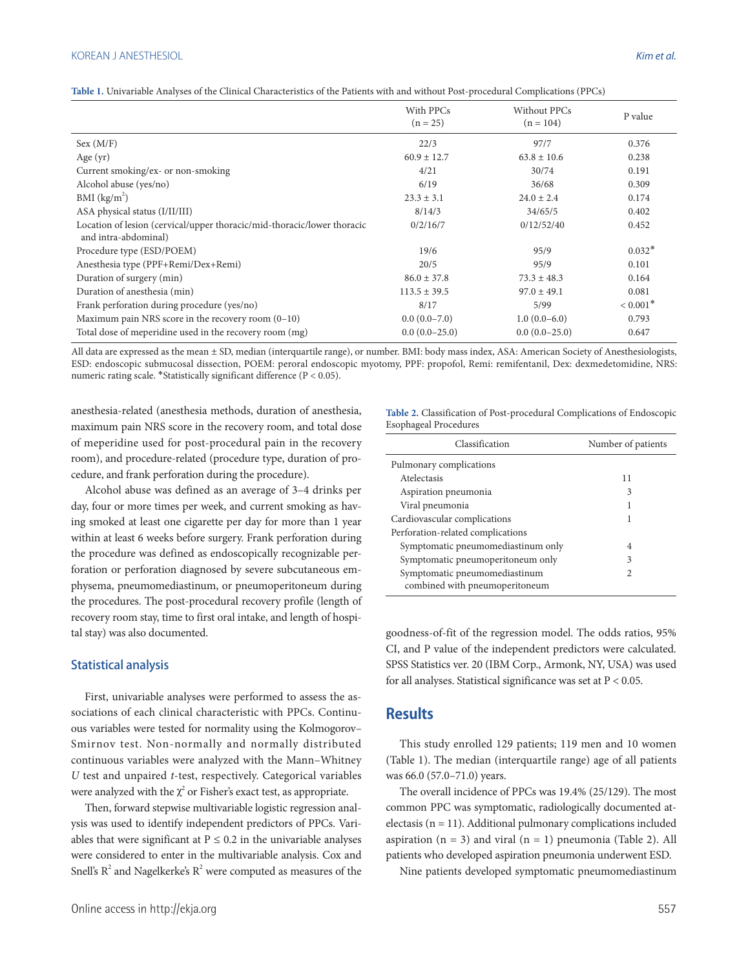#### KOREAN J ANESTHESIOL *Kim et al.*

| Table 1. Univariable Analyses of the Clinical Characteristics of the Patients with and without Post-procedural Complications (PPCs) |  |  |  |
|-------------------------------------------------------------------------------------------------------------------------------------|--|--|--|
|-------------------------------------------------------------------------------------------------------------------------------------|--|--|--|

|                                                                                                 | With PPCs<br>$(n = 25)$ | Without PPCs<br>$(n = 104)$ | P value                |
|-------------------------------------------------------------------------------------------------|-------------------------|-----------------------------|------------------------|
| Sex (M/F)                                                                                       | 22/3                    | 97/7                        | 0.376                  |
| Age $(yr)$                                                                                      | $60.9 \pm 12.7$         | $63.8 \pm 10.6$             | 0.238                  |
| Current smoking/ex- or non-smoking                                                              | 4/21                    | 30/74                       | 0.191                  |
| Alcohol abuse (yes/no)                                                                          | 6/19                    | 36/68                       | 0.309                  |
| BMI (kg/m <sup>2</sup> )                                                                        | $23.3 \pm 3.1$          | $24.0 \pm 2.4$              | 0.174                  |
| ASA physical status (I/II/III)                                                                  | 8/14/3                  | 34/65/5                     | 0.402                  |
| Location of lesion (cervical/upper thoracic/mid-thoracic/lower thoracic<br>and intra-abdominal) | 0/2/16/7                | 0/12/52/40                  | 0.452                  |
| Procedure type (ESD/POEM)                                                                       | 19/6                    | 95/9                        | $0.032*$               |
| Anesthesia type (PPF+Remi/Dex+Remi)                                                             | 20/5                    | 95/9                        | 0.101                  |
| Duration of surgery (min)                                                                       | $86.0 \pm 37.8$         | $73.3 \pm 48.3$             | 0.164                  |
| Duration of anesthesia (min)                                                                    | $113.5 \pm 39.5$        | $97.0 \pm 49.1$             | 0.081                  |
| Frank perforation during procedure (yes/no)                                                     | 8/17                    | 5/99                        | $< 0.001$ <sup>*</sup> |
| Maximum pain NRS score in the recovery room $(0-10)$                                            | $0.0(0.0-7.0)$          | $1.0(0.0-6.0)$              | 0.793                  |
| Total dose of meperidine used in the recovery room (mg)                                         | $0.0(0.0-25.0)$         | $0.0(0.0-25.0)$             | 0.647                  |

All data are expressed as the mean ± SD, median (interquartile range), or number. BMI: body mass index, ASA: American Society of Anesthesiologists, ESD: endoscopic submucosal dissection, POEM: peroral endoscopic myotomy, PPF: propofol, Remi: remifentanil, Dex: dexmedetomidine, NRS: numeric rating scale. \*Statistically significant difference (P < 0.05).

anesthesia-related (anesthesia methods, duration of anesthesia, maximum pain NRS score in the recovery room, and total dose of meperidine used for post-procedural pain in the recovery room), and procedure-related (procedure type, duration of procedure, and frank perforation during the procedure).

Alcohol abuse was defined as an average of 3–4 drinks per day, four or more times per week, and current smoking as having smoked at least one cigarette per day for more than 1 year within at least 6 weeks before surgery. Frank perforation during the procedure was defined as endoscopically recognizable perforation or perforation diagnosed by severe subcutaneous emphysema, pneumomediastinum, or pneumoperitoneum during the procedures. The post-procedural recovery profile (length of recovery room stay, time to first oral intake, and length of hospital stay) was also documented.

#### Statistical analysis

First, univariable analyses were performed to assess the associations of each clinical characteristic with PPCs. Continuous variables were tested for normality using the Kolmogorov– Smirnov test. Non-normally and normally distributed continuous variables were analyzed with the Mann–Whitney *U* test and unpaired *t*-test, respectively. Categorical variables were analyzed with the  $\chi^2$  or Fisher's exact test, as appropriate.

Then, forward stepwise multivariable logistic regression analysis was used to identify independent predictors of PPCs. Variables that were significant at  $P \le 0.2$  in the univariable analyses were considered to enter in the multivariable analysis. Cox and Snell's  $R^2$  and Nagelkerke's  $R^2$  were computed as measures of the **Table 2.** Classification of Post-procedural Complications of Endoscopic Esophageal Procedures

| Classification                     | Number of patients |
|------------------------------------|--------------------|
| Pulmonary complications            |                    |
| Atelectasis                        | 11                 |
| Aspiration pneumonia               | 3                  |
| Viral pneumonia                    |                    |
| Cardiovascular complications       | 1                  |
| Perforation-related complications  |                    |
| Symptomatic pneumomediastinum only | 4                  |
| Symptomatic pneumoperitoneum only  | 3                  |
| Symptomatic pneumomediastinum      | $\mathfrak{D}$     |
| combined with pneumoperitoneum     |                    |

goodness-of-fit of the regression model. The odds ratios, 95% CI, and P value of the independent predictors were calculated. SPSS Statistics ver. 20 (IBM Corp., Armonk, NY, USA) was used for all analyses. Statistical significance was set at P < 0.05.

## **Results**

This study enrolled 129 patients; 119 men and 10 women (Table 1). The median (interquartile range) age of all patients was 66.0 (57.0–71.0) years.

The overall incidence of PPCs was 19.4% (25/129). The most common PPC was symptomatic, radiologically documented atelectasis (n = 11). Additional pulmonary complications included aspiration  $(n = 3)$  and viral  $(n = 1)$  pneumonia (Table 2). All patients who developed aspiration pneumonia underwent ESD.

Nine patients developed symptomatic pneumomediastinum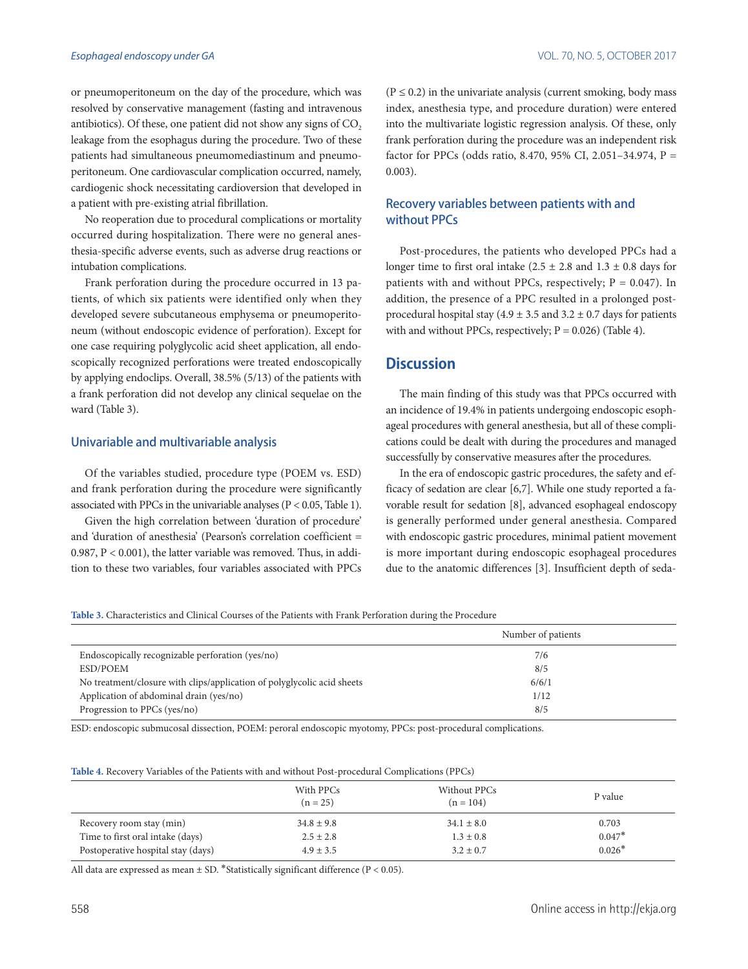or pneumoperitoneum on the day of the procedure, which was resolved by conservative management (fasting and intravenous antibiotics). Of these, one patient did not show any signs of  $CO<sub>2</sub>$ leakage from the esophagus during the procedure. Two of these patients had simultaneous pneumomediastinum and pneumoperitoneum. One cardiovascular complication occurred, namely, cardiogenic shock necessitating cardioversion that developed in a patient with pre-existing atrial fibrillation.

No reoperation due to procedural complications or mortality occurred during hospitalization. There were no general anesthesia-specific adverse events, such as adverse drug reactions or intubation complications.

Frank perforation during the procedure occurred in 13 patients, of which six patients were identified only when they developed severe subcutaneous emphysema or pneumoperitoneum (without endoscopic evidence of perforation). Except for one case requiring polyglycolic acid sheet application, all endoscopically recognized perforations were treated endoscopically by applying endoclips. Overall, 38.5% (5/13) of the patients with a frank perforation did not develop any clinical sequelae on the ward (Table 3).

#### Univariable and multivariable analysis

Of the variables studied, procedure type (POEM vs. ESD) and frank perforation during the procedure were significantly associated with PPCs in the univariable analyses (P < 0.05, Table 1).

Given the high correlation between 'duration of procedure' and 'duration of anesthesia' (Pearson's correlation coefficient = 0.987, P < 0.001), the latter variable was removed. Thus, in addition to these two variables, four variables associated with PPCs  $(P \le 0.2)$  in the univariate analysis (current smoking, body mass index, anesthesia type, and procedure duration) were entered into the multivariate logistic regression analysis. Of these, only frank perforation during the procedure was an independent risk factor for PPCs (odds ratio, 8.470, 95% CI, 2.051-34.974, P = 0.003).

#### Recovery variables between patients with and without PPCs

Post-procedures, the patients who developed PPCs had a longer time to first oral intake  $(2.5 \pm 2.8 \text{ and } 1.3 \pm 0.8 \text{ days for})$ patients with and without PPCs, respectively;  $P = 0.047$ ). In addition, the presence of a PPC resulted in a prolonged postprocedural hospital stay (4.9  $\pm$  3.5 and 3.2  $\pm$  0.7 days for patients with and without PPCs, respectively;  $P = 0.026$ ) (Table 4).

## **Discussion**

The main finding of this study was that PPCs occurred with an incidence of 19.4% in patients undergoing endoscopic esophageal procedures with general anesthesia, but all of these complications could be dealt with during the procedures and managed successfully by conservative measures after the procedures.

In the era of endoscopic gastric procedures, the safety and efficacy of sedation are clear [6,7]. While one study reported a favorable result for sedation [8], advanced esophageal endoscopy is generally performed under general anesthesia. Compared with endoscopic gastric procedures, minimal patient movement is more important during endoscopic esophageal procedures due to the anatomic differences [3]. Insufficient depth of seda-

**Table 3.** Characteristics and Clinical Courses of the Patients with Frank Perforation during the Procedure

|                                                                         | Number of patients |
|-------------------------------------------------------------------------|--------------------|
| Endoscopically recognizable perforation (yes/no)                        | 7/6                |
| ESD/POEM                                                                | 8/5                |
| No treatment/closure with clips/application of polyglycolic acid sheets | 6/6/1              |
| Application of abdominal drain (yes/no)                                 | 1/12               |
| Progression to PPCs (yes/no)                                            | 8/5                |

ESD: endoscopic submucosal dissection, POEM: peroral endoscopic myotomy, PPCs: post-procedural complications.

|  |  |  |  |  |  |  | <b>Table 4.</b> Recovery Variables of the Patients with and without Post-procedural Complications (PPCs) |  |  |
|--|--|--|--|--|--|--|----------------------------------------------------------------------------------------------------------|--|--|
|--|--|--|--|--|--|--|----------------------------------------------------------------------------------------------------------|--|--|

|                                    | With PPCs<br>$(n = 25)$ | Without PPCs<br>$(n = 104)$ | P value  |
|------------------------------------|-------------------------|-----------------------------|----------|
| Recovery room stay (min)           | $34.8 \pm 9.8$          | $34.1 \pm 8.0$              | 0.703    |
| Time to first oral intake (days)   | $2.5 \pm 2.8$           | $1.3 \pm 0.8$               | $0.047*$ |
| Postoperative hospital stay (days) | $4.9 \pm 3.5$           | $3.2 \pm 0.7$               | $0.026*$ |

All data are expressed as mean  $\pm$  SD. \*Statistically significant difference (P < 0.05).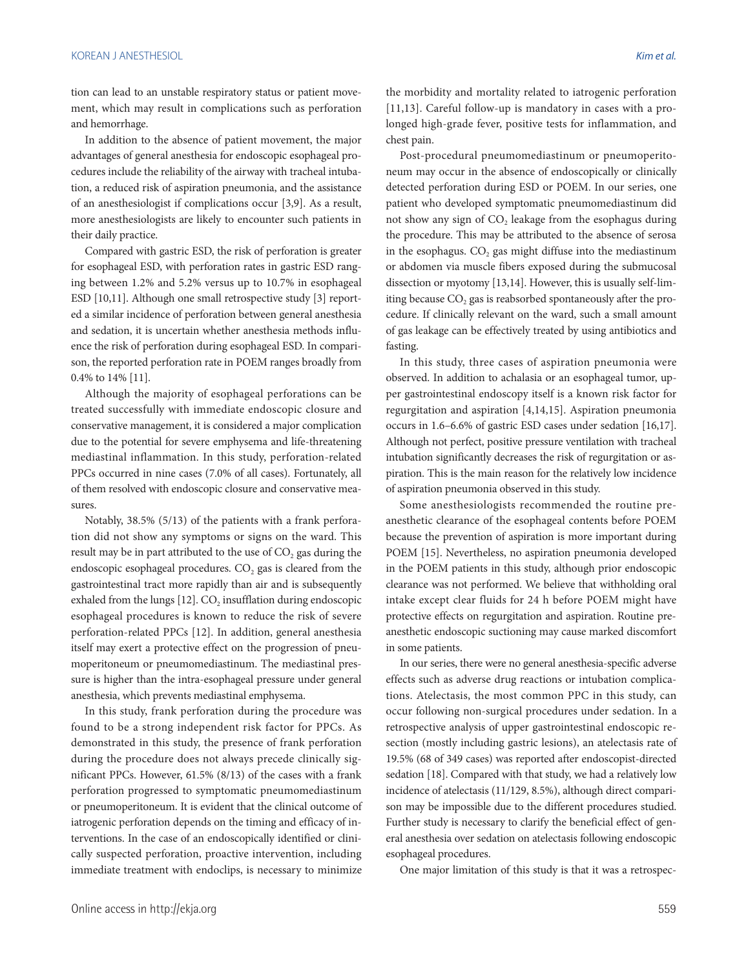tion can lead to an unstable respiratory status or patient movement, which may result in complications such as perforation and hemorrhage.

In addition to the absence of patient movement, the major advantages of general anesthesia for endoscopic esophageal procedures include the reliability of the airway with tracheal intubation, a reduced risk of aspiration pneumonia, and the assistance of an anesthesiologist if complications occur [3,9]. As a result, more anesthesiologists are likely to encounter such patients in their daily practice.

Compared with gastric ESD, the risk of perforation is greater for esophageal ESD, with perforation rates in gastric ESD ranging between 1.2% and 5.2% versus up to 10.7% in esophageal ESD [10,11]. Although one small retrospective study [3] reported a similar incidence of perforation between general anesthesia and sedation, it is uncertain whether anesthesia methods influence the risk of perforation during esophageal ESD. In comparison, the reported perforation rate in POEM ranges broadly from 0.4% to 14% [11].

Although the majority of esophageal perforations can be treated successfully with immediate endoscopic closure and conservative management, it is considered a major complication due to the potential for severe emphysema and life-threatening mediastinal inflammation. In this study, perforation-related PPCs occurred in nine cases (7.0% of all cases). Fortunately, all of them resolved with endoscopic closure and conservative measures.

Notably, 38.5% (5/13) of the patients with a frank perforation did not show any symptoms or signs on the ward. This result may be in part attributed to the use of  $CO<sub>2</sub>$  gas during the endoscopic esophageal procedures. CO<sub>2</sub> gas is cleared from the gastrointestinal tract more rapidly than air and is subsequently exhaled from the lungs  $[12]$ . CO<sub>2</sub> insufflation during endoscopic esophageal procedures is known to reduce the risk of severe perforation-related PPCs [12]. In addition, general anesthesia itself may exert a protective effect on the progression of pneumoperitoneum or pneumomediastinum. The mediastinal pressure is higher than the intra-esophageal pressure under general anesthesia, which prevents mediastinal emphysema.

In this study, frank perforation during the procedure was found to be a strong independent risk factor for PPCs. As demonstrated in this study, the presence of frank perforation during the procedure does not always precede clinically significant PPCs. However, 61.5% (8/13) of the cases with a frank perforation progressed to symptomatic pneumomediastinum or pneumoperitoneum. It is evident that the clinical outcome of iatrogenic perforation depends on the timing and efficacy of interventions. In the case of an endoscopically identified or clinically suspected perforation, proactive intervention, including immediate treatment with endoclips, is necessary to minimize the morbidity and mortality related to iatrogenic perforation [11,13]. Careful follow-up is mandatory in cases with a prolonged high-grade fever, positive tests for inflammation, and chest pain.

Post-procedural pneumomediastinum or pneumoperitoneum may occur in the absence of endoscopically or clinically detected perforation during ESD or POEM. In our series, one patient who developed symptomatic pneumomediastinum did not show any sign of  $CO<sub>2</sub>$  leakage from the esophagus during the procedure. This may be attributed to the absence of serosa in the esophagus.  $CO<sub>2</sub>$  gas might diffuse into the mediastinum or abdomen via muscle fibers exposed during the submucosal dissection or myotomy [13,14]. However, this is usually self-limiting because CO<sub>2</sub> gas is reabsorbed spontaneously after the procedure. If clinically relevant on the ward, such a small amount of gas leakage can be effectively treated by using antibiotics and fasting.

In this study, three cases of aspiration pneumonia were observed. In addition to achalasia or an esophageal tumor, upper gastrointestinal endoscopy itself is a known risk factor for regurgitation and aspiration [4,14,15]. Aspiration pneumonia occurs in 1.6–6.6% of gastric ESD cases under sedation [16,17]. Although not perfect, positive pressure ventilation with tracheal intubation significantly decreases the risk of regurgitation or aspiration. This is the main reason for the relatively low incidence of aspiration pneumonia observed in this study.

Some anesthesiologists recommended the routine preanesthetic clearance of the esophageal contents before POEM because the prevention of aspiration is more important during POEM [15]. Nevertheless, no aspiration pneumonia developed in the POEM patients in this study, although prior endoscopic clearance was not performed. We believe that withholding oral intake except clear fluids for 24 h before POEM might have protective effects on regurgitation and aspiration. Routine preanesthetic endoscopic suctioning may cause marked discomfort in some patients.

In our series, there were no general anesthesia-specific adverse effects such as adverse drug reactions or intubation complications. Atelectasis, the most common PPC in this study, can occur following non-surgical procedures under sedation. In a retrospective analysis of upper gastrointestinal endoscopic resection (mostly including gastric lesions), an atelectasis rate of 19.5% (68 of 349 cases) was reported after endoscopist-directed sedation [18]. Compared with that study, we had a relatively low incidence of atelectasis (11/129, 8.5%), although direct comparison may be impossible due to the different procedures studied. Further study is necessary to clarify the beneficial effect of general anesthesia over sedation on atelectasis following endoscopic esophageal procedures.

One major limitation of this study is that it was a retrospec-